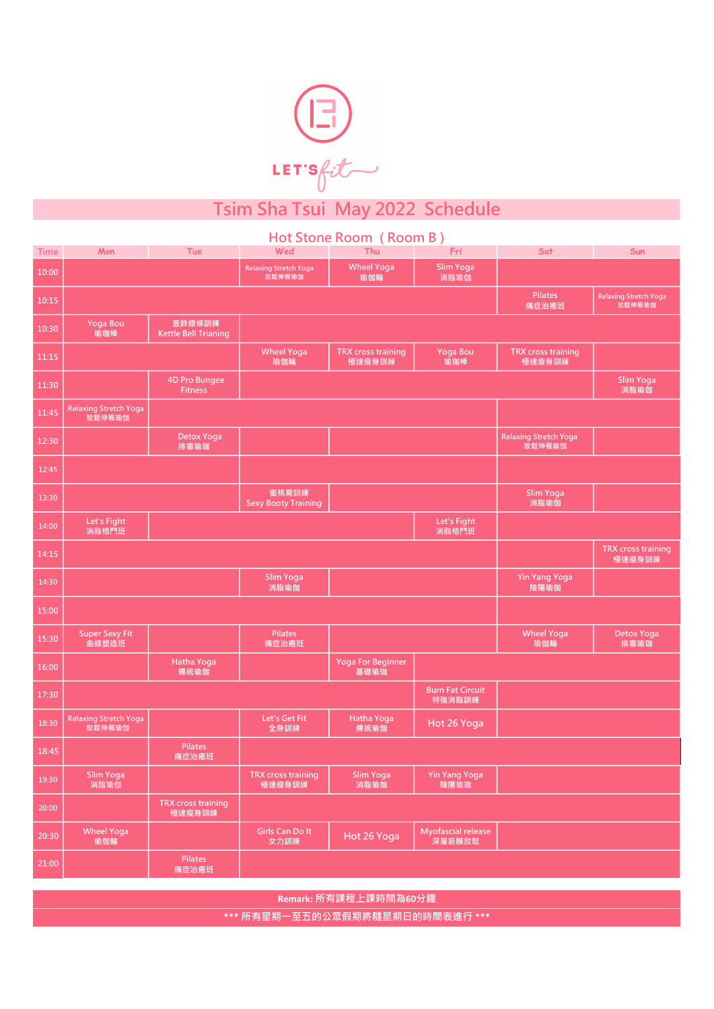

# Tsim Sha Tsui May 2022 Schedule

### Hot Stone Room ( Room B )

|             |                                        |                                       |                                        | 10150110110011111100111011          |                                   |                                     |                                        |
|-------------|----------------------------------------|---------------------------------------|----------------------------------------|-------------------------------------|-----------------------------------|-------------------------------------|----------------------------------------|
| <b>Time</b> | Mon                                    | <b>Tue</b>                            | Wed                                    | Thu                                 | Fri                               | Sat                                 | Sun                                    |
| 10:00       |                                        |                                       | <b>Relaxing Stretch Yoga</b><br>放鬆伸展瑜伽 | <b>Wheel Yoga</b><br>瑜伽輪            | Slim Yoga<br>消脂瑜伽                 |                                     |                                        |
| 10:15       |                                        |                                       |                                        |                                     |                                   | Pilates<br>痛症治癒班                    | <b>Relaxing Stretch Yoga</b><br>放鬆伸展瑜伽 |
| 10:30       | Yoga Bou<br>瑜珈棒                        | 壺鈴線條訓練<br><b>Kettle Bell Trianing</b> |                                        |                                     |                                   |                                     |                                        |
| 11:15       |                                        |                                       | <b>Wheel Yoga</b><br>瑜伽輪               | <b>TRX cross training</b><br>極速瘦身訓練 | Yoga Bou<br>瑜珈棒                   | <b>TRX cross training</b><br>極速瘦身訓練 |                                        |
| 11:30       |                                        | 4D Pro Bungee<br><b>Fitness</b>       |                                        |                                     |                                   |                                     | Slim Yoga<br>消脂瑜伽                      |
| 11:45       | <b>Relaxing Stretch Yoga</b><br>放鬆伸展瑜伽 |                                       |                                        |                                     |                                   |                                     |                                        |
| 12:30       |                                        | Detox Yoga<br>排毒瑜珈                    |                                        |                                     |                                   | Relaxing Stretch Yoga<br>放鬆伸展瑜伽     |                                        |
| 12:45       |                                        |                                       |                                        |                                     |                                   |                                     |                                        |
| 13:30       |                                        |                                       | 蜜桃臀訓練<br><b>Sexy Booty Training</b>    |                                     |                                   | Slim Yoga<br>消脂瑜伽                   |                                        |
| 14:00       | Let's Fight<br>消脂格鬥班                   |                                       |                                        |                                     | Let's Fight<br>消脂格鬥班              |                                     |                                        |
| 14:15       |                                        |                                       |                                        |                                     |                                   |                                     | <b>TRX cross training</b><br>極速瘦身訓練    |
| 14:30       |                                        |                                       | Slim Yoga<br>消脂瑜伽                      |                                     |                                   | <b>Yin Yang Yoga</b><br>陰陽瑜伽        |                                        |
| 15:00       |                                        |                                       |                                        |                                     |                                   |                                     |                                        |
| 15:30       | <b>Super Sexy Fit</b><br>曲線塑造班         |                                       | Pilates<br>痛症治癒班                       |                                     |                                   | <b>Wheel Yoga</b><br>瑜伽輪            | Detox Yoga<br>排毒瑜珈                     |
| 16:00       |                                        | Hatha Yoga<br>傳統瑜伽                    |                                        | <b>Yoga For Beginner</b><br>基礎瑜珈    |                                   |                                     |                                        |
| 17:30       |                                        |                                       |                                        |                                     | <b>Burn Fat Circuit</b><br>特強消脂訓練 |                                     |                                        |
| 18:30       | <b>Relaxing Stretch Yoga</b><br>放鬆伸展瑜伽 |                                       | Let's Get Fit<br>全身訓練                  | Hatha Yoga<br>傳統瑜伽                  | Hot 26 Yoga                       |                                     |                                        |
| 18:45       |                                        | <b>Pilates</b><br>痛症治癒班               |                                        |                                     |                                   |                                     |                                        |
| 19:30       | Slim Yoga<br>消脂瑜伽                      |                                       | <b>TRX</b> cross training<br>極速瘦身訓練    | Slim Yoga<br>消脂瑜伽                   | Yin Yang Yoga<br>陰陽瑜珈             |                                     |                                        |
| 20:00       |                                        | <b>TRX cross training</b><br>極速瘦身訓練   |                                        |                                     |                                   |                                     |                                        |
| 20:30       | <b>Wheel Yoga</b><br>瑜伽輪               |                                       | Girls Can Do It<br>女力訓練                | Hot 26 Yoga                         | Myofascial release<br>深層筋膜放鬆      |                                     |                                        |
| 21:00       |                                        | <b>Pilates</b><br>痛症治癒班               |                                        |                                     |                                   |                                     |                                        |
|             |                                        |                                       |                                        |                                     |                                   |                                     |                                        |

Remark: 所有課程上課時間為60分鐘

\*\*\* 所有星期一至五的公眾假期將隨星期日的時間表進行 \*\*\*